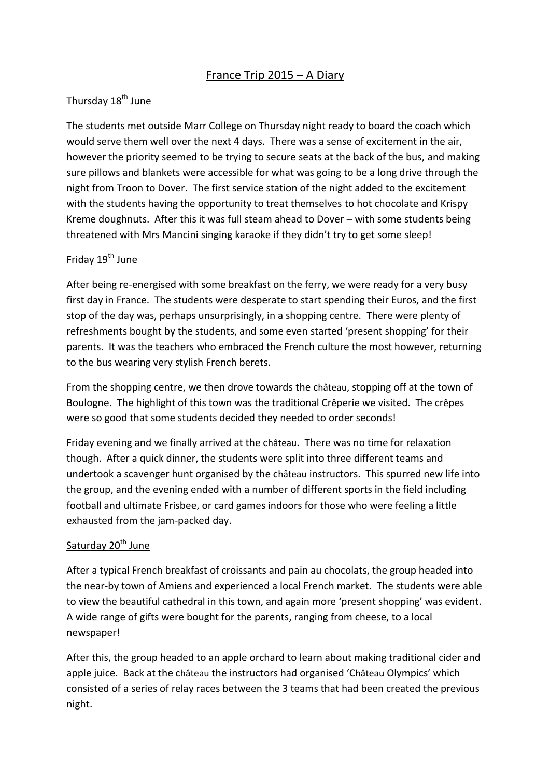# France Trip 2015 – A Diary

### Thursday 18<sup>th</sup> June

The students met outside Marr College on Thursday night ready to board the coach which would serve them well over the next 4 days. There was a sense of excitement in the air, however the priority seemed to be trying to secure seats at the back of the bus, and making sure pillows and blankets were accessible for what was going to be a long drive through the night from Troon to Dover. The first service station of the night added to the excitement with the students having the opportunity to treat themselves to hot chocolate and Krispy Kreme doughnuts. After this it was full steam ahead to Dover – with some students being threatened with Mrs Mancini singing karaoke if they didn't try to get some sleep!

## Friday 19th June

After being re-energised with some breakfast on the ferry, we were ready for a very busy first day in France. The students were desperate to start spending their Euros, and the first stop of the day was, perhaps unsurprisingly, in a shopping centre. There were plenty of refreshments bought by the students, and some even started 'present shopping' for their parents. It was the teachers who embraced the French culture the most however, returning to the bus wearing very stylish French berets.

From the shopping centre, we then drove towards the château, stopping off at the town of Boulogne. The highlight of this town was the traditional Crêperie we visited. The crêpes were so good that some students decided they needed to order seconds!

Friday evening and we finally arrived at the château. There was no time for relaxation though. After a quick dinner, the students were split into three different teams and undertook a scavenger hunt organised by the château instructors. This spurred new life into the group, and the evening ended with a number of different sports in the field including football and ultimate Frisbee, or card games indoors for those who were feeling a little exhausted from the jam-packed day.

### Saturday 20<sup>th</sup> June

After a typical French breakfast of croissants and pain au chocolats, the group headed into the near-by town of Amiens and experienced a local French market. The students were able to view the beautiful cathedral in this town, and again more 'present shopping' was evident. A wide range of gifts were bought for the parents, ranging from cheese, to a local newspaper!

After this, the group headed to an apple orchard to learn about making traditional cider and apple juice. Back at the château the instructors had organised 'Château Olympics' which consisted of a series of relay races between the 3 teams that had been created the previous night.